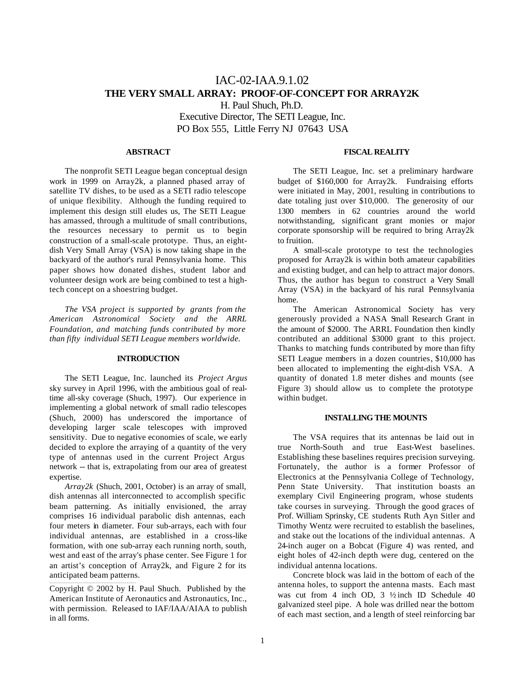# IAC-02-IAA.9.1.02 **THE VERY SMALL ARRAY: PROOF-OF-CONCEPT FOR ARRAY2K** H. Paul Shuch, Ph.D.

Executive Director, The SETI League, Inc. PO Box 555, Little Ferry NJ 07643 USA

### **ABSTRACT**

The nonprofit SETI League began conceptual design work in 1999 on Array2k, a planned phased array of satellite TV dishes, to be used as a SETI radio telescope of unique flexibility. Although the funding required to implement this design still eludes us, The SETI League has amassed, through a multitude of small contributions, the resources necessary to permit us to begin construction of a small-scale prototype. Thus, an eightdish Very Small Array (VSA) is now taking shape in the backyard of the author's rural Pennsylvania home. This paper shows how donated dishes, student labor and volunteer design work are being combined to test a hightech concept on a shoestring budget.

*The VSA project is supported by grants from the American Astronomical Society and the ARRL Foundation, and matching funds contributed by more than fifty individual SETI League members worldwide.*

## **INTRODUCTION**

The SETI League, Inc. launched its *Project Argus* sky survey in April 1996, with the ambitious goal of realtime all-sky coverage (Shuch, 1997). Our experience in implementing a global network of small radio telescopes (Shuch, 2000) has underscored the importance of developing larger scale telescopes with improved sensitivity. Due to negative economies of scale, we early decided to explore the arraying of a quantity of the very type of antennas used in the current Project Argus network -- that is, extrapolating from our area of greatest expertise.

*Array2k* (Shuch, 2001, October) is an array of small, dish antennas all interconnected to accomplish specific beam patterning. As initially envisioned, the array comprises 16 individual parabolic dish antennas, each four meters in diameter. Four sub-arrays, each with four individual antennas, are established in a cross-like formation, with one sub-array each running north, south, west and east of the array's phase center. See Figure 1 for an artist's conception of Array2k, and Figure 2 for its anticipated beam patterns.

Copyright © 2002 by H. Paul Shuch. Published by the American Institute of Aeronautics and Astronautics, Inc., with permission. Released to IAF/IAA/AIAA to publish in all forms.

\_\_\_\_\_\_\_\_\_\_\_\_\_\_\_\_\_\_\_\_\_\_\_\_\_\_\_\_\_\_\_\_\_\_\_\_\_\_\_\_\_\_\_\_\_

## **FISCAL REALITY**

The SETI League, Inc. set a preliminary hardware budget of \$160,000 for Array2k. Fundraising efforts were initiated in May, 2001, resulting in contributions to date totaling just over \$10,000. The generosity of our 1300 members in 62 countries around the world notwithstanding, significant grant monies or major corporate sponsorship will be required to bring Array2k to fruition.

A small-scale prototype to test the technologies proposed for Array2k is within both amateur capabilities and existing budget, and can help to attract major donors. Thus, the author has begun to construct a Very Small Array (VSA) in the backyard of his rural Pennsylvania home.

The American Astronomical Society has very generously provided a NASA Small Research Grant in the amount of \$2000. The ARRL Foundation then kindly contributed an additional \$3000 grant to this project. Thanks to matching funds contributed by more than fifty SETI League members in a dozen countries, \$10,000 has been allocated to implementing the eight-dish VSA. A quantity of donated 1.8 meter dishes and mounts (see Figure 3) should allow us to complete the prototype within budget.

#### **INSTALLING THE MOUNTS**

The VSA requires that its antennas be laid out in true North-South and true East-West baselines. Establishing these baselines requires precision surveying. Fortunately, the author is a former Professor of Electronics at the Pennsylvania College of Technology, Penn State University. That institution boasts an exemplary Civil Engineering program, whose students take courses in surveying. Through the good graces of Prof. William Sprinsky, CE students Ruth Ayn Sitler and Timothy Wentz were recruited to establish the baselines, and stake out the locations of the individual antennas. A 24-inch auger on a Bobcat (Figure 4) was rented, and eight holes of 42-inch depth were dug, centered on the individual antenna locations.

Concrete block was laid in the bottom of each of the antenna holes, to support the antenna masts. Each mast was cut from 4 inch OD,  $3\frac{1}{2}$  inch ID Schedule 40 galvanized steel pipe. A hole was drilled near the bottom of each mast section, and a length of steel reinforcing bar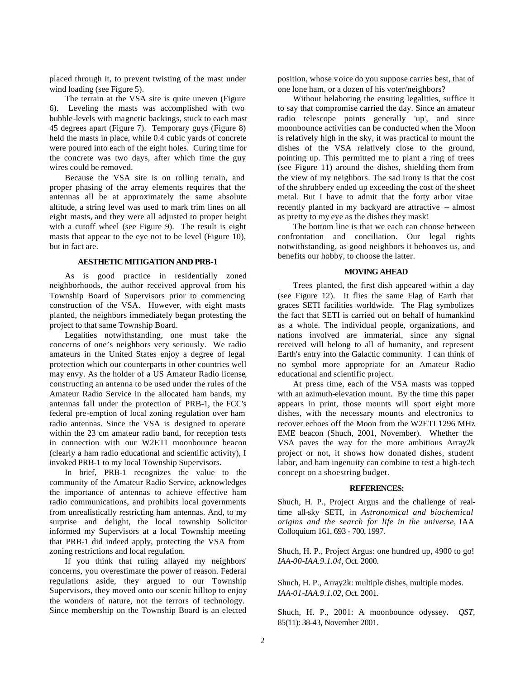placed through it, to prevent twisting of the mast under wind loading (see Figure 5).

The terrain at the VSA site is quite uneven (Figure 6). Leveling the masts was accomplished with two bubble-levels with magnetic backings, stuck to each mast 45 degrees apart (Figure 7). Temporary guys (Figure 8) held the masts in place, while 0.4 cubic yards of concrete were poured into each of the eight holes. Curing time for the concrete was two days, after which time the guy wires could be removed.

Because the VSA site is on rolling terrain, and proper phasing of the array elements requires that the antennas all be at approximately the same absolute altitude, a string level was used to mark trim lines on all eight masts, and they were all adjusted to proper height with a cutoff wheel (see Figure 9). The result is eight masts that appear to the eye not to be level (Figure 10), but in fact are.

#### **AESTHETIC MITIGATION AND PRB-1**

As is good practice in residentially zoned neighborhoods, the author received approval from his Township Board of Supervisors prior to commencing construction of the VSA. However, with eight masts planted, the neighbors immediately began protesting the project to that same Township Board.

Legalities notwithstanding, one must take the concerns of one's neighbors very seriously. We radio amateurs in the United States enjoy a degree of legal protection which our counterparts in other countries well may envy. As the holder of a US Amateur Radio license, constructing an antenna to be used under the rules of the Amateur Radio Service in the allocated ham bands, my antennas fall under the protection of PRB-1, the FCC's federal pre-emption of local zoning regulation over ham radio antennas. Since the VSA is designed to operate within the 23 cm amateur radio band, for reception tests in connection with our W2ETI moonbounce beacon (clearly a ham radio educational and scientific activity), I invoked PRB-1 to my local Township Supervisors.

In brief, PRB-1 recognizes the value to the community of the Amateur Radio Service, acknowledges the importance of antennas to achieve effective ham radio communications, and prohibits local governments from unrealistically restricting ham antennas. And, to my surprise and delight, the local township Solicitor informed my Supervisors at a local Township meeting that PRB-1 did indeed apply, protecting the VSA from zoning restrictions and local regulation.

If you think that ruling allayed my neighbors' concerns, you overestimate the power of reason. Federal regulations aside, they argued to our Township Supervisors, they moved onto our scenic hilltop to enjoy the wonders of nature, not the terrors of technology. Since membership on the Township Board is an elected

position, whose voice do you suppose carries best, that of one lone ham, or a dozen of his voter/neighbors?

Without belaboring the ensuing legalities, suffice it to say that compromise carried the day. Since an amateur radio telescope points generally 'up', and since moonbounce activities can be conducted when the Moon is relatively high in the sky, it was practical to mount the dishes of the VSA relatively close to the ground, pointing up. This permitted me to plant a ring of trees (see Figure 11) around the dishes, shielding them from the view of my neighbors. The sad irony is that the cost of the shrubbery ended up exceeding the cost of the sheet metal. But I have to admit that the forty arbor vitae recently planted in my backyard are attractive -- almost as pretty to my eye as the dishes they mask!

The bottom line is that we each can choose between confrontation and conciliation. Our legal rights notwithstanding, as good neighbors it behooves us, and benefits our hobby, to choose the latter.

#### **MOVING AHEAD**

Trees planted, the first dish appeared within a day (see Figure 12). It flies the same Flag of Earth that graces SETI facilities worldwide. The Flag symbolizes the fact that SETI is carried out on behalf of humankind as a whole. The individual people, organizations, and nations involved are immaterial, since any signal received will belong to all of humanity, and represent Earth's entry into the Galactic community. I can think of no symbol more appropriate for an Amateur Radio educational and scientific project.

At press time, each of the VSA masts was topped with an azimuth-elevation mount. By the time this paper appears in print, those mounts will sport eight more dishes, with the necessary mounts and electronics to recover echoes off the Moon from the W2ETI 1296 MHz EME beacon (Shuch, 2001, November). Whether the VSA paves the way for the more ambitious Array2k project or not, it shows how donated dishes, student labor, and ham ingenuity can combine to test a high-tech concept on a shoestring budget.

#### **REFERENCES:**

Shuch, H. P., Project Argus and the challenge of realtime all-sky SETI, in *Astronomical and biochemical origins and the search for life in the universe*, IAA Colloquium 161, 693 - 700, 1997.

Shuch, H. P., Project Argus: one hundred up, 4900 to go! *IAA-00-IAA.9.1.04*, Oct. 2000.

Shuch, H. P., Array2k: multiple dishes, multiple modes. *IAA-01-IAA.9.1.02*, Oct. 2001.

Shuch, H. P., 2001: A moonbounce odyssey. *QST,* 85(11): 38-43, November 2001.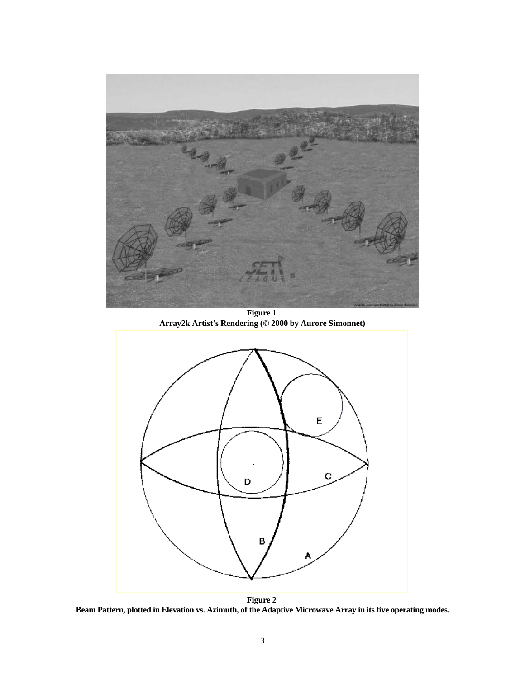

**Figure 1 Array2k Artist's Rendering (© 2000 by Aurore Simonnet)**



**Figure 2 Beam Pattern, plotted in Elevation vs. Azimuth, of the Adaptive Microwave Array in its five operating modes.**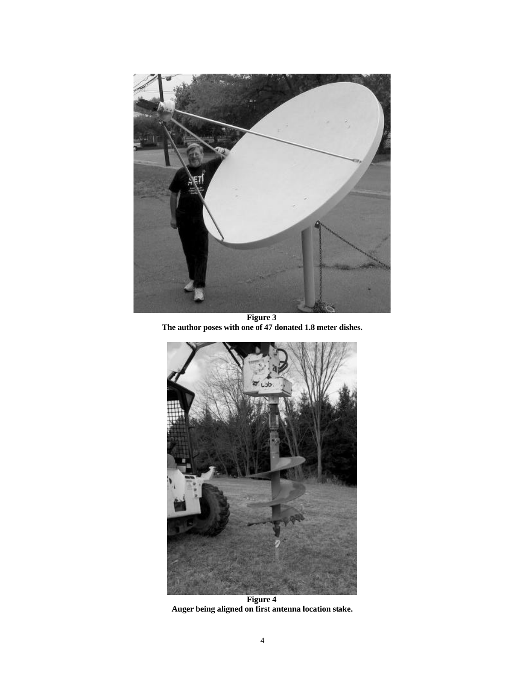

**Figure 3 The author poses with one of 47 donated 1.8 meter dishes.**



**Figure 4 Auger being aligned on first antenna location stake.**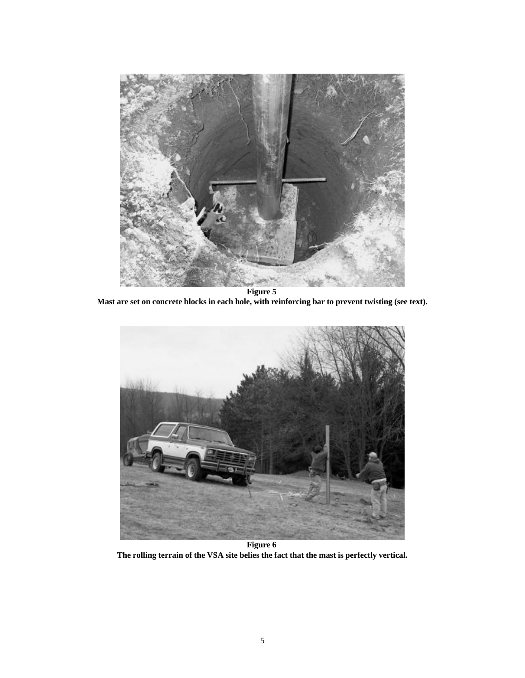

**Figure 5 Mast are set on concrete blocks in each hole, with reinforcing bar to prevent twisting (see text).**



**Figure 6 The rolling terrain of the VSA site belies the fact that the mast is perfectly vertical.**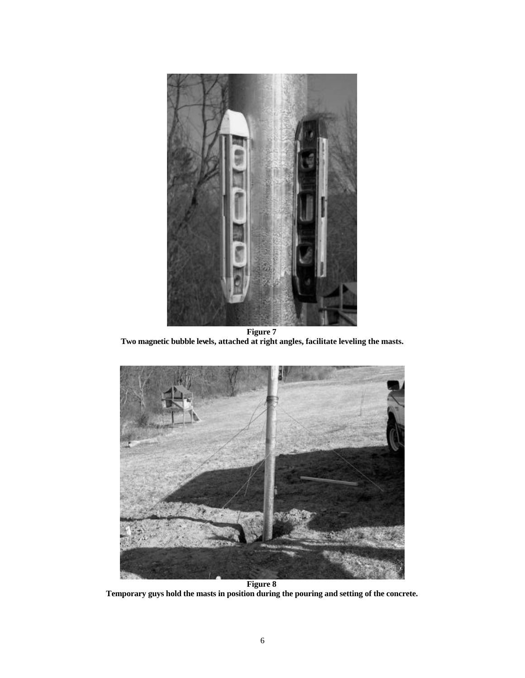

**Figure 7 Two magnetic bubble levels, attached at right angles, facilitate leveling the masts.**



**Figure 8 Temporary guys hold the masts in position during the pouring and setting of the concrete.**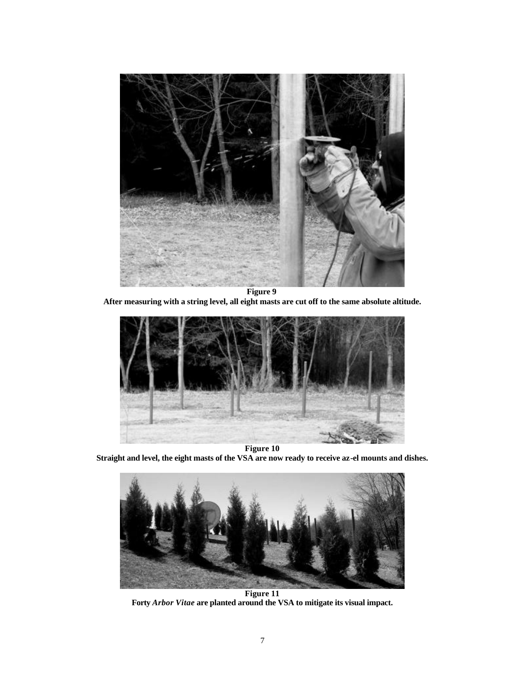

**After measuring with a string level, all eight masts are cut off to the same absolute altitude.**



**Straight and level, the eight masts of the VSA are now ready to receive az-el mounts and dishes.**



**Figure 11 Forty** *Arbor Vitae* **are planted around the VSA to mitigate its visual impact.**